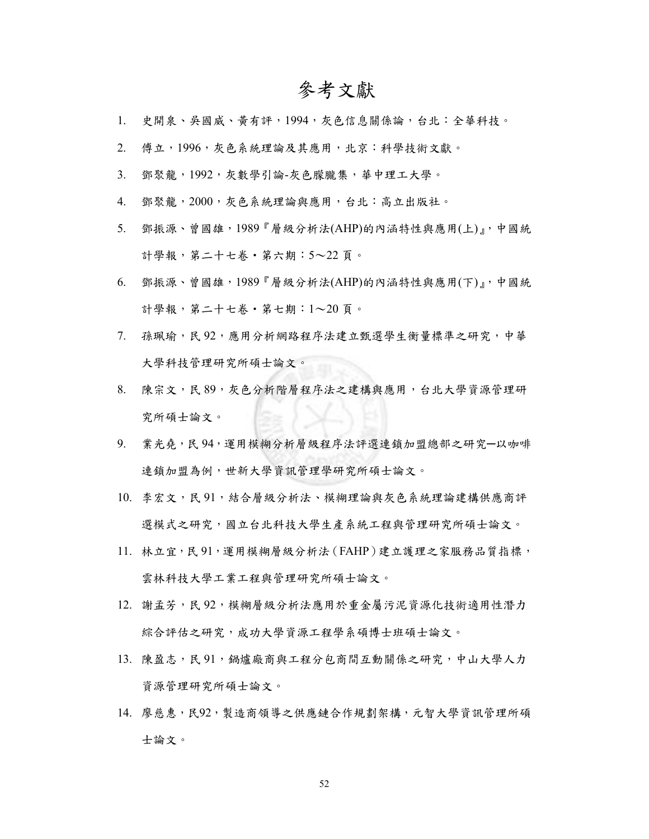## 參考文獻

- 1. 史開泉、吳國威、黃有評,1994,灰色信息關係論,台北:全華科技。
- 2. 傅立,1996,灰色系統理論及其應用,北京:科學技術文獻。
- 3. 鄧聚龍,1992,灰數學引論-灰色朦朧集,華中理工大學。
- 4. 鄧聚龍,2000,灰色系統理論與應用,台北:高立出版社。
- 5. 鄧振源、曾國雄,1989『層級分析法(AHP)的內涵特性與應用(上)』,中國統 計學報,第二十七卷‧第六期:5~22 頁。
- 6. 鄧振源、曾國雄,1989『層級分析法(AHP)的內涵特性與應用(下)』,中國統 計學報,第二十七卷‧第七期:1~20 頁。
- 7. 孫珮瑜,民92,應用分析網路程序法建立甄選學生衡量標準之研究,中華 大學科技管理研究所碩士論文。
- 8. 陳宗文,民 89,灰色分析階層程序法之建構與應用,台北大學資源管理研 究所碩士論文。
- 9. 業光堯,民 94,運用模糊分析層級程序法評選連鎖加盟總部之研究─以咖啡 連鎖加盟為例,世新大學資訊管理學研究所碩士論文。
- 10. 李宏文,民 91,結合層級分析法、模糊理論與灰色系統理論建構供應商評 選模式之研究,國立台北科技大學生產系統工程與管理研究所碩士論文。
- 11. 林立宜,民 91,運用模糊層級分析法 (FAHP)建立護理之家服務品質指標, 雲林科技大學工業工程與管理研究所碩士論文。
- 12. 謝孟芳,民92,模糊層級分析法應用於重金屬污泥資源化技術適用性潛力 綜合評估之研究,成功大學資源工程學系碩博士班碩士論文。
- 13. 陳盈志,民 91,鍋爐廠商與工程分包商間互動關係之研究,中山大學人力 資源管理研究所碩士論文。
- 14. 廖慈惠,民92,製造商領導之供應鏈合作規劃架構,元智大學資訊管理所碩 士論文。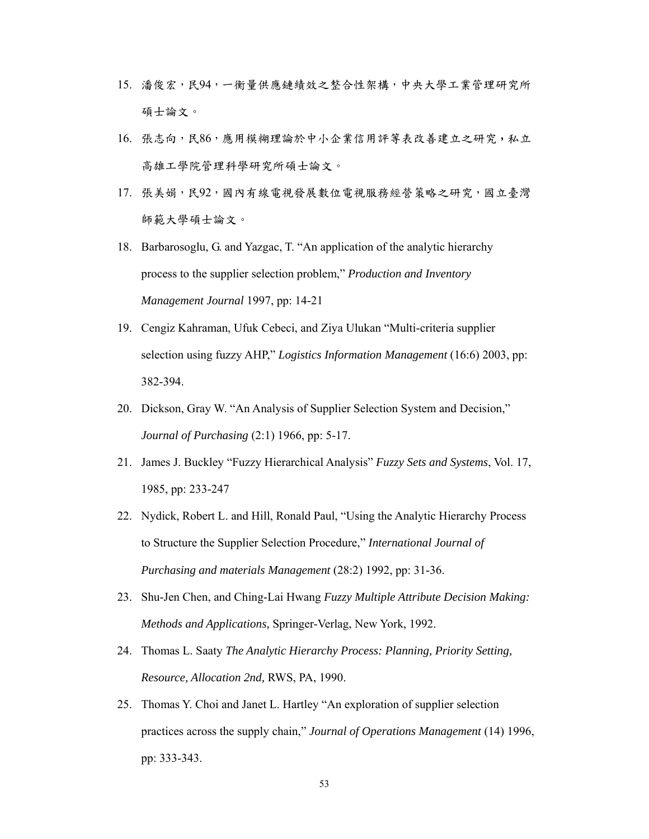- 15. 潘俊宏,民94,一衡量供應鏈績效之整合性架構,中央大學工業管理研究所 碩士論文。
- 16. 張志向,民86,應用模糊理論於中小企業信用評等表改善建立之研究,私立 高雄工學院管理科學研究所碩士論文。
- 17. 張美娟,民92,國內有線電視發展數位電視服務經營策略之研究,國立臺灣 師範大學碩士論文。
- 18. Barbarosoglu, G. and Yazgac, T. "An application of the analytic hierarchy process to the supplier selection problem," *Production and Inventory Management Journal* 1997, pp: 14-21
- 19. Cengiz Kahraman, Ufuk Cebeci, and Ziya Ulukan "Multi-criteria supplier selection using fuzzy AHP," *Logistics Information Management* (16:6) 2003, pp: 382-394.
- 20. Dickson, Gray W. "An Analysis of Supplier Selection System and Decision," *Journal of Purchasing* (2:1) 1966, pp: 5-17.
- 21. James J. Buckley "Fuzzy Hierarchical Analysis" *Fuzzy Sets and Systems*, Vol. 17, 1985, pp: 233-247
- 22. Nydick, Robert L. and Hill, Ronald Paul, "Using the Analytic Hierarchy Process to Structure the Supplier Selection Procedure," *International Journal of Purchasing and materials Management* (28:2) 1992, pp: 31-36.
- 23. Shu-Jen Chen, and Ching-Lai Hwang *Fuzzy Multiple Attribute Decision Making: Methods and Applications,* Springer-Verlag, New York, 1992.
- 24. Thomas L. Saaty *The Analytic Hierarchy Process: Planning, Priority Setting, Resource, Allocation 2nd,* RWS, PA, 1990.
- 25. Thomas Y. Choi and Janet L. Hartley "An exploration of supplier selection practices across the supply chain," *Journal of Operations Management* (14) 1996, pp: 333-343.